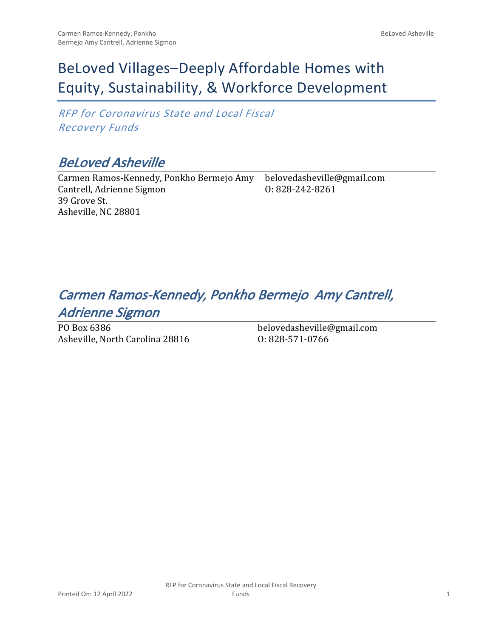# BeLoved Villages–Deeply Affordable Homes with Equity, Sustainability, & Workforce Development

*RFP for Coronavirus State and Local Fiscal Recovery Funds*

## *BeLoved Asheville*

Carmen Ramos-Kennedy, Ponkho Bermejo Amy Cantrell, Adrienne Sigmon 39 Grove St. Asheville, NC 28801 belovedasheville@gmail.com O: 828-242-8261

## *Carmen Ramos-Kennedy, Ponkho Bermejo Amy Cantrell, Adrienne Sigmon*

PO Box 6386 Asheville, North Carolina 28816 belovedasheville@gmail.com O: 828-571-0766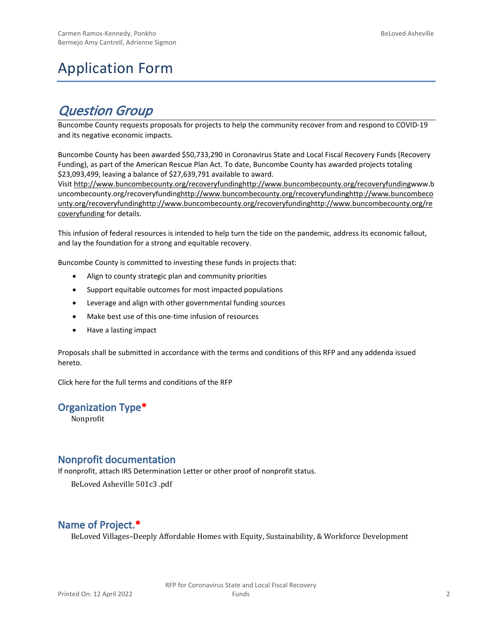# Application Form

## *Question Group*

Buncombe County requests proposals for projects to help the community recover from and respond to COVID-19 and its negative economic impacts.

Buncombe County has been awarded \$50,733,290 in Coronavirus State and Local Fiscal Recovery Funds (Recovery Funding), as part of the American Rescue Plan Act. To date, Buncombe County has awarded projects totaling \$23,093,499, leaving a balance of \$27,639,791 available to award.

Visit [http://www.buncombecounty.org/recoveryfundinghttp://www.buncombecounty.org/recoveryfundingwww.b](http://www.buncombecounty.org/recoveryfunding) [uncombecounty.org/recoveryfundinghttp://www.buncombecounty.org/recoveryfundinghttp://www.buncombeco](http://www.buncombecounty.org/recoveryfunding) [unty.org/recoveryfundinghttp://www.buncombecounty.org/recoveryfundinghttp://www.buncombecounty.org/re](http://www.buncombecounty.org/recoveryfunding) [coveryfunding](http://www.buncombecounty.org/recoveryfunding) for details.

This infusion of federal resources is intended to help turn the tide on the pandemic, address its economic fallout, and lay the foundation for a strong and equitable recovery.

Buncombe County is committed to investing these funds in projects that:

- Align to county strategic plan and community priorities
- Support equitable outcomes for most impacted populations
- Leverage and align with other governmental funding sources
- Make best use of this one-time infusion of resources
- Have a lasting impact

Proposals shall be submitted in accordance with the terms and conditions of this RFP and any addenda issued hereto.

Click [here](https://www.buncombecounty.org/common/purchasing/Buncombe%20Recovery%20Funding%20RFP%202022.pdf) for the full terms and conditions of the RFP

#### **Organization Type\***

Nonprofit

#### **Nonprofit documentation**

If nonprofit, attach IRS Determination Letter or other proof of nonprofit status.

BeLoved Asheville 501c3 .pdf

#### **Name of Project.\***

BeLoved Villages–Deeply Affordable Homes with Equity, Sustainability, & Workforce Development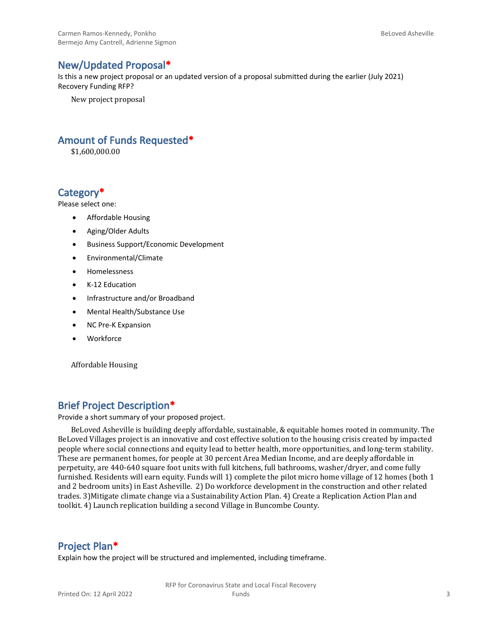#### **New/Updated Proposal\***

Is this a new project proposal or an updated version of a proposal submitted during the earlier (July 2021) Recovery Funding RFP?

New project proposal

#### **Amount of Funds Requested\***

\$1,600,000.00

#### **Category\***

Please select one:

- Affordable Housing
- Aging/Older Adults
- Business Support/Economic Development
- Environmental/Climate
- Homelessness
- K-12 Education
- Infrastructure and/or Broadband
- Mental Health/Substance Use
- NC Pre-K Expansion
- Workforce

Affordable Housing

#### **Brief Project Description\***

Provide a short summary of your proposed project.

BeLoved Asheville is building deeply affordable, sustainable, & equitable homes rooted in community. The BeLoved Villages project is an innovative and cost effective solution to the housing crisis created by impacted people where social connections and equity lead to better health, more opportunities, and long-term stability. These are permanent homes, for people at 30 percent Area Median Income, and are deeply affordable in perpetuity, are 440-640 square foot units with full kitchens, full bathrooms, washer/dryer, and come fully furnished. Residents will earn equity. Funds will 1) complete the pilot micro home village of 12 homes (both 1 and 2 bedroom units) in East Asheville. 2) Do workforce development in the construction and other related trades. 3)Mitigate climate change via a Sustainability Action Plan. 4) Create a Replication Action Plan and toolkit. 4) Launch replication building a second Village in Buncombe County.

#### **Project Plan\***

Explain how the project will be structured and implemented, including timeframe.

RFP for Coronavirus State and Local Fiscal Recovery Funds 3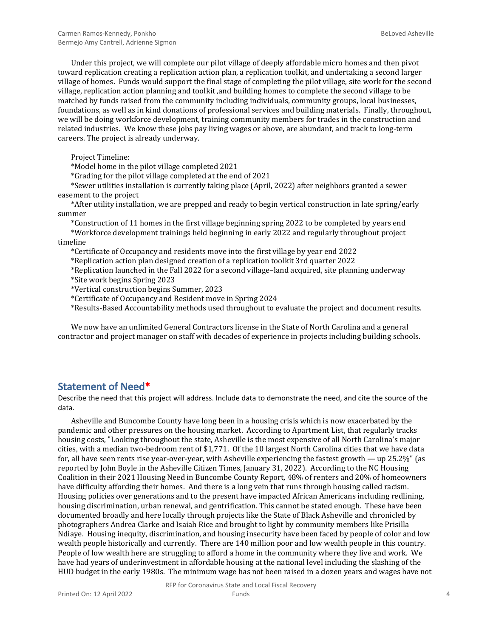Under this project, we will complete our pilot village of deeply affordable micro homes and then pivot toward replication creating a replication action plan, a replication toolkit, and undertaking a second larger village of homes. Funds would support the final stage of completing the pilot village, site work for the second village, replication action planning and toolkit ,and building homes to complete the second village to be matched by funds raised from the community including individuals, community groups, local businesses, foundations, as well as in kind donations of professional services and building materials. Finally, throughout, we will be doing workforce development, training community members for trades in the construction and related industries. We know these jobs pay living wages or above, are abundant, and track to long-term careers. The project is already underway.

Project Timeline:

\*Model home in the pilot village completed 2021

\*Grading for the pilot village completed at the end of 2021

\*Sewer utilities installation is currently taking place (April, 2022) after neighbors granted a sewer easement to the project

\*After utility installation, we are prepped and ready to begin vertical construction in late spring/early summer

\*Construction of 11 homes in the first village beginning spring 2022 to be completed by years end \*Workforce development trainings held beginning in early 2022 and regularly throughout project timeline

\*Certificate of Occupancy and residents move into the first village by year end 2022

\*Replication action plan designed creation of a replication toolkit 3rd quarter 2022

\*Replication launched in the Fall 2022 for a second village–land acquired, site planning underway \*Site work begins Spring 2023

\*Vertical construction begins Summer, 2023

\*Certificate of Occupancy and Resident move in Spring 2024

\*Results-Based Accountability methods used throughout to evaluate the project and document results.

We now have an unlimited General Contractors license in the State of North Carolina and a general contractor and project manager on staff with decades of experience in projects including building schools.

#### **Statement of Need\***

Describe the need that this project will address. Include data to demonstrate the need, and cite the source of the data.

Asheville and Buncombe County have long been in a housing crisis which is now exacerbated by the pandemic and other pressures on the housing market. According to Apartment List, that regularly tracks housing costs, "Looking throughout the state, Asheville is the most expensive of all North Carolina's major cities, with a median two-bedroom rent of \$1,771. Of the 10 largest North Carolina cities that we have data for, all have seen rents rise year-over-year, with Asheville experiencing the fastest growth — up 25.2%" (as reported by John Boyle in the Asheville Citizen Times, January 31, 2022). According to the NC Housing Coalition in their 2021 Housing Need in Buncombe County Report, 48% of renters and 20% of homeowners have difficulty affording their homes. And there is a long vein that runs through housing called racism. Housing policies over generations and to the present have impacted African Americans including redlining, housing discrimination, urban renewal, and gentrification. This cannot be stated enough. These have been documented broadly and here locally through projects like the State of Black Asheville and chronicled by photographers Andrea Clarke and Isaiah Rice and brought to light by community members like Prisilla Ndiaye. Housing inequity, discrimination, and housing insecurity have been faced by people of color and low wealth people historically and currently. There are 140 million poor and low wealth people in this country. People of low wealth here are struggling to afford a home in the community where they live and work. We have had years of underinvestment in affordable housing at the national level including the slashing of the HUD budget in the early 1980s. The minimum wage has not been raised in a dozen years and wages have not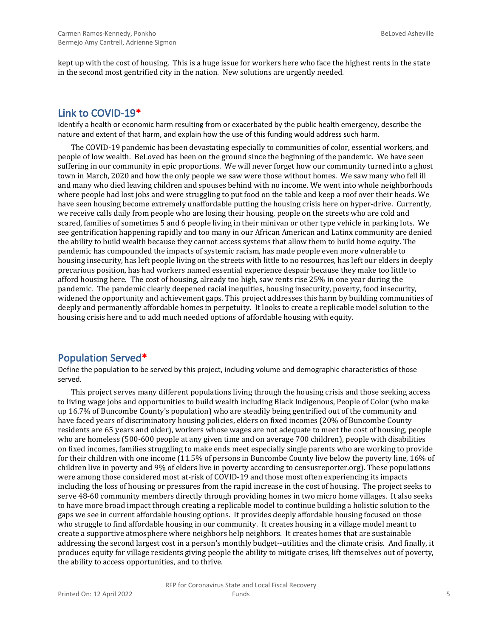kept up with the cost of housing. This is a huge issue for workers here who face the highest rents in the state in the second most gentrified city in the nation. New solutions are urgently needed.

#### **Link to COVID-19\***

Identify a health or economic harm resulting from or exacerbated by the public health emergency, describe the nature and extent of that harm, and explain how the use of this funding would address such harm.

The COVID-19 pandemic has been devastating especially to communities of color, essential workers, and people of low wealth. BeLoved has been on the ground since the beginning of the pandemic. We have seen suffering in our community in epic proportions. We will never forget how our community turned into a ghost town in March, 2020 and how the only people we saw were those without homes. We saw many who fell ill and many who died leaving children and spouses behind with no income. We went into whole neighborhoods where people had lost jobs and were struggling to put food on the table and keep a roof over their heads. We have seen housing become extremely unaffordable putting the housing crisis here on hyper-drive. Currently, we receive calls daily from people who are losing their housing, people on the streets who are cold and scared, families of sometimes 5 and 6 people living in their minivan or other type vehicle in parking lots. We see gentrification happening rapidly and too many in our African American and Latinx community are denied the ability to build wealth because they cannot access systems that allow them to build home equity. The pandemic has compounded the impacts of systemic racism, has made people even more vulnerable to housing insecurity, has left people living on the streets with little to no resources, has left our elders in deeply precarious position, has had workers named essential experience despair because they make too little to afford housing here. The cost of housing, already too high, saw rents rise 25% in one year during the pandemic. The pandemic clearly deepened racial inequities, housing insecurity, poverty, food insecurity, widened the opportunity and achievement gaps. This project addresses this harm by building communities of deeply and permanently affordable homes in perpetuity. It looks to create a replicable model solution to the housing crisis here and to add much needed options of affordable housing with equity.

#### **Population Served\***

Define the population to be served by this project, including volume and demographic characteristics of those served.

This project serves many different populations living through the housing crisis and those seeking access to living wage jobs and opportunities to build wealth including Black Indigenous, People of Color (who make up 16.7% of Buncombe County's population) who are steadily being gentrified out of the community and have faced years of discriminatory housing policies, elders on fixed incomes (20% of Buncombe County residents are 65 years and older), workers whose wages are not adequate to meet the cost of housing, people who are homeless (500-600 people at any given time and on average 700 children), people with disabilities on fixed incomes, families struggling to make ends meet especially single parents who are working to provide for their children with one income (11.5% of persons in Buncombe County live below the poverty line, 16% of children live in poverty and 9% of elders live in poverty according to censusreporter.org). These populations were among those considered most at-risk of COVID-19 and those most often experiencing its impacts including the loss of housing or pressures from the rapid increase in the cost of housing. The project seeks to serve 48-60 community members directly through providing homes in two micro home villages. It also seeks to have more broad impact through creating a replicable model to continue building a holistic solution to the gaps we see in current affordable housing options. It provides deeply affordable housing focused on those who struggle to find affordable housing in our community. It creates housing in a village model meant to create a supportive atmosphere where neighbors help neighbors. It creates homes that are sustainable addressing the second largest cost in a person's monthly budget--utilities and the climate crisis. And finally, it produces equity for village residents giving people the ability to mitigate crises, lift themselves out of poverty, the ability to access opportunities, and to thrive.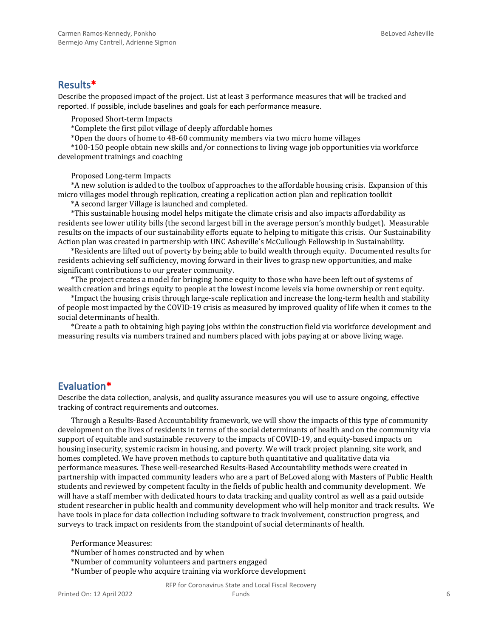#### **Results\***

Describe the proposed impact of the project. List at least 3 performance measures that will be tracked and reported. If possible, include baselines and goals for each performance measure.

Proposed Short-term Impacts

\*Complete the first pilot village of deeply affordable homes

\*Open the doors of home to 48-60 community members via two micro home villages

\*100-150 people obtain new skills and/or connections to living wage job opportunities via workforce development trainings and coaching

Proposed Long-term Impacts

\*A new solution is added to the toolbox of approaches to the affordable housing crisis. Expansion of this micro villages model through replication, creating a replication action plan and replication toolkit

\*A second larger Village is launched and completed.

\*This sustainable housing model helps mitigate the climate crisis and also impacts affordability as residents see lower utility bills (the second largest bill in the average person's monthly budget). Measurable results on the impacts of our sustainability efforts equate to helping to mitigate this crisis. Our Sustainability Action plan was created in partnership with UNC Asheville's McCullough Fellowship in Sustainability.

\*Residents are lifted out of poverty by being able to build wealth through equity. Documented results for residents achieving self sufficiency, moving forward in their lives to grasp new opportunities, and make significant contributions to our greater community.

\*The project creates a model for bringing home equity to those who have been left out of systems of wealth creation and brings equity to people at the lowest income levels via home ownership or rent equity.

\*Impact the housing crisis through large-scale replication and increase the long-term health and stability of people most impacted by the COVID-19 crisis as measured by improved quality of life when it comes to the social determinants of health.

\*Create a path to obtaining high paying jobs within the construction field via workforce development and measuring results via numbers trained and numbers placed with jobs paying at or above living wage.

#### **Evaluation\***

Describe the data collection, analysis, and quality assurance measures you will use to assure ongoing, effective tracking of contract requirements and outcomes.

Through a Results-Based Accountability framework, we will show the impacts of this type of community development on the lives of residents in terms of the social determinants of health and on the community via support of equitable and sustainable recovery to the impacts of COVID-19, and equity-based impacts on housing insecurity, systemic racism in housing, and poverty. We will track project planning, site work, and homes completed. We have proven methods to capture both quantitative and qualitative data via performance measures. These well-researched Results-Based Accountability methods were created in partnership with impacted community leaders who are a part of BeLoved along with Masters of Public Health students and reviewed by competent faculty in the fields of public health and community development. We will have a staff member with dedicated hours to data tracking and quality control as well as a paid outside student researcher in public health and community development who will help monitor and track results. We have tools in place for data collection including software to track involvement, construction progress, and surveys to track impact on residents from the standpoint of social determinants of health.

Performance Measures: \*Number of homes constructed and by when

\*Number of community volunteers and partners engaged

\*Number of people who acquire training via workforce development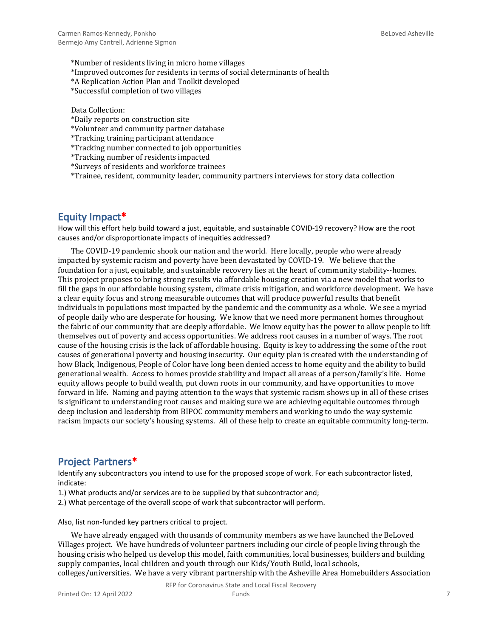\*Number of residents living in micro home villages \*Improved outcomes for residents in terms of social determinants of health

\*A Replication Action Plan and Toolkit developed

\*Successful completion of two villages

Data Collection:

\*Daily reports on construction site

\*Volunteer and community partner database

\*Tracking training participant attendance

\*Tracking number connected to job opportunities

\*Tracking number of residents impacted

\*Surveys of residents and workforce trainees

\*Trainee, resident, community leader, community partners interviews for story data collection

#### **Equity Impact\***

How will this effort help build toward a just, equitable, and sustainable COVID-19 recovery? How are the root causes and/or disproportionate impacts of inequities addressed?

The COVID-19 pandemic shook our nation and the world. Here locally, people who were already impacted by systemic racism and poverty have been devastated by COVID-19. We believe that the foundation for a just, equitable, and sustainable recovery lies at the heart of community stability--homes. This project proposes to bring strong results via affordable housing creation via a new model that works to fill the gaps in our affordable housing system, climate crisis mitigation, and workforce development. We have a clear equity focus and strong measurable outcomes that will produce powerful results that benefit individuals in populations most impacted by the pandemic and the community as a whole. We see a myriad of people daily who are desperate for housing. We know that we need more permanent homes throughout the fabric of our community that are deeply affordable. We know equity has the power to allow people to lift themselves out of poverty and access opportunities. We address root causes in a number of ways. The root cause of the housing crisis is the lack of affordable housing. Equity is key to addressing the some of the root causes of generational poverty and housing insecurity. Our equity plan is created with the understanding of how Black, Indigenous, People of Color have long been denied access to home equity and the ability to build generational wealth. Access to homes provide stability and impact all areas of a person/family's life. Home equity allows people to build wealth, put down roots in our community, and have opportunities to move forward in life. Naming and paying attention to the ways that systemic racism shows up in all of these crises is significant to understanding root causes and making sure we are achieving equitable outcomes through deep inclusion and leadership from BIPOC community members and working to undo the way systemic racism impacts our society's housing systems. All of these help to create an equitable community long-term.

#### **Project Partners\***

Identify any subcontractors you intend to use for the proposed scope of work. For each subcontractor listed, indicate:

- 1.) What products and/or services are to be supplied by that subcontractor and;
- 2.) What percentage of the overall scope of work that subcontractor will perform.

Also, list non-funded key partners critical to project.

We have already engaged with thousands of community members as we have launched the BeLoved Villages project. We have hundreds of volunteer partners including our circle of people living through the housing crisis who helped us develop this model, faith communities, local businesses, builders and building supply companies, local children and youth through our Kids/Youth Build, local schools, colleges/universities. We have a very vibrant partnership with the Asheville Area Homebuilders Association

RFP for Coronavirus State and Local Fiscal Recovery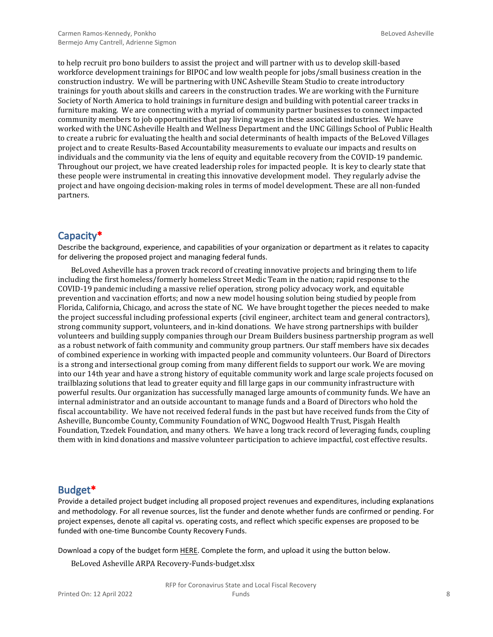to help recruit pro bono builders to assist the project and will partner with us to develop skill-based workforce development trainings for BIPOC and low wealth people for jobs/small business creation in the construction industry. We will be partnering with UNC Asheville Steam Studio to create introductory trainings for youth about skills and careers in the construction trades. We are working with the Furniture Society of North America to hold trainings in furniture design and building with potential career tracks in furniture making. We are connecting with a myriad of community partner businesses to connect impacted community members to job opportunities that pay living wages in these associated industries. We have worked with the UNC Asheville Health and Wellness Department and the UNC Gillings School of Public Health to create a rubric for evaluating the health and social determinants of health impacts of the BeLoved Villages project and to create Results-Based Accountability measurements to evaluate our impacts and results on individuals and the community via the lens of equity and equitable recovery from the COVID-19 pandemic. Throughout our project, we have created leadership roles for impacted people. It is key to clearly state that these people were instrumental in creating this innovative development model. They regularly advise the project and have ongoing decision-making roles in terms of model development. These are all non-funded partners.

#### **Capacity\***

Describe the background, experience, and capabilities of your organization or department as it relates to capacity for delivering the proposed project and managing federal funds.

BeLoved Asheville has a proven track record of creating innovative projects and bringing them to life including the first homeless/formerly homeless Street Medic Team in the nation; rapid response to the COVID-19 pandemic including a massive relief operation, strong policy advocacy work, and equitable prevention and vaccination efforts; and now a new model housing solution being studied by people from Florida, California, Chicago, and across the state of NC. We have brought together the pieces needed to make the project successful including professional experts (civil engineer, architect team and general contractors), strong community support, volunteers, and in-kind donations. We have strong partnerships with builder volunteers and building supply companies through our Dream Builders business partnership program as well as a robust network of faith community and community group partners. Our staff members have six decades of combined experience in working with impacted people and community volunteers. Our Board of Directors is a strong and intersectional group coming from many different fields to support our work. We are moving into our 14th year and have a strong history of equitable community work and large scale projects focused on trailblazing solutions that lead to greater equity and fill large gaps in our community infrastructure with powerful results. Our organization has successfully managed large amounts of community funds. We have an internal administrator and an outside accountant to manage funds and a Board of Directors who hold the fiscal accountability. We have not received federal funds in the past but have received funds from the City of Asheville, Buncombe County, Community Foundation of WNC, Dogwood Health Trust, Pisgah Health Foundation, Tzedek Foundation, and many others. We have a long track record of leveraging funds, coupling them with in kind donations and massive volunteer participation to achieve impactful, cost effective results.

#### **Budget\***

Provide a detailed project budget including all proposed project revenues and expenditures, including explanations and methodology. For all revenue sources, list the funder and denote whether funds are confirmed or pending. For project expenses, denote all capital vs. operating costs, and reflect which specific expenses are proposed to be funded with one-time Buncombe County Recovery Funds.

Download a copy of the budget form [HERE](https://buncombecounty.org/common/community-investment/grants/early-childhood-education/Recovery-Funds-budget-template.xlsx). Complete the form, and upload it using the button below.

BeLoved Asheville ARPA Recovery-Funds-budget.xlsx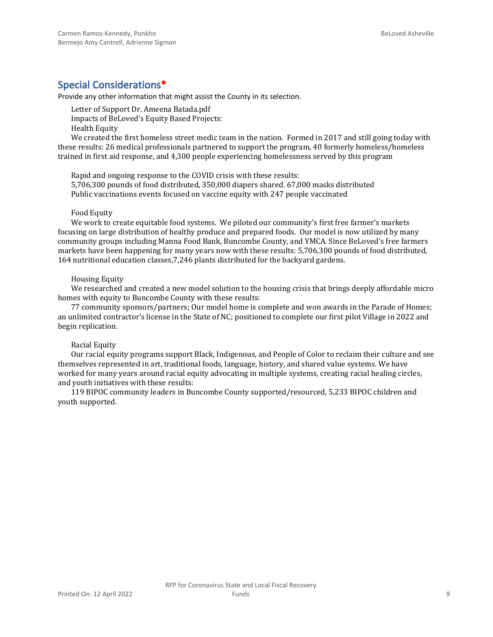#### **Special Considerations\***

Provide any other information that might assist the County in its selection.

Letter of Support Dr. Ameena Batada.pdf Impacts of BeLoved's Equity Based Projects: Health Equity

We created the first homeless street medic team in the nation. Formed in 2017 and still going today with these results: 26 medical professionals partnered to support the program, 40 formerly homeless/homeless trained in first aid response, and 4,300 people experiencing homelessness served by this program

Rapid and ongoing response to the COVID crisis with these results: 5,706,300 pounds of food distributed, 350,000 diapers shared. 67,000 masks distributed Public vaccinations events focused on vaccine equity with 247 people vaccinated

#### Food Equity

We work to create equitable food systems. We piloted our community's first free farmer's markets focusing on large distribution of healthy produce and prepared foods. Our model is now utilized by many community groups including Manna Food Bank, Buncombe County, and YMCA. Since BeLoved's free farmers markets have been happening for many years now with these results: 5,706,300 pounds of food distributed, 164 nutritional education classes,7,246 plants distributed for the backyard gardens.

#### Housing Equity

We researched and created a new model solution to the housing crisis that brings deeply affordable micro homes with equity to Buncombe County with these results:

77 community sponsors/partners; Our model home is complete and won awards in the Parade of Homes; an unlimited contractor's license in the State of NC; positioned to complete our first pilot Village in 2022 and begin replication.

#### Racial Equity

Our racial equity programs support Black, Indigenous, and People of Color to reclaim their culture and see themselves represented in art, traditional foods, language, history, and shared value systems. We have worked for many years around racial equity advocating in multiple systems, creating racial healing circles, and youth initiatives with these results:

119 BIPOC community leaders in Buncombe County supported/resourced, 5,233 BIPOC children and youth supported.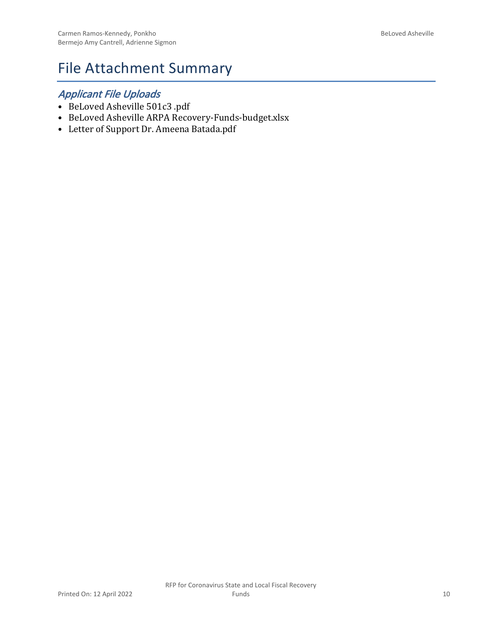## File Attachment Summary

### *Applicant File Uploads*

- BeLoved Asheville 501c3 .pdf
- BeLoved Asheville ARPA Recovery-Funds-budget.xlsx
- Letter of Support Dr. Ameena Batada.pdf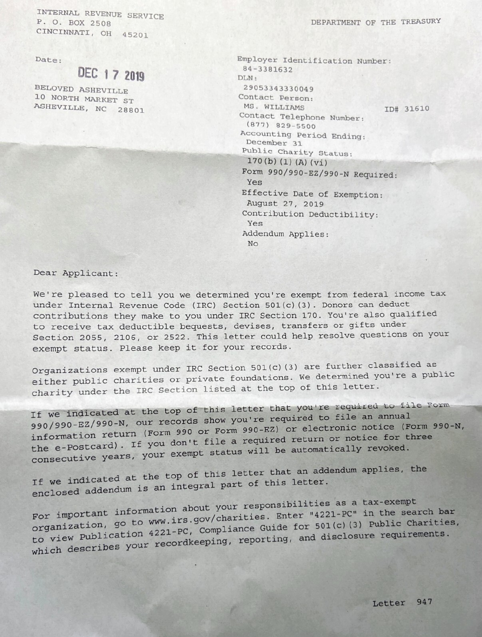INTERNAL REVENUE SERVICE P. O. BOX 2508 CINCINNATI, OH 45201

Date:

# DEC 17 2019

BELOVED ASHEVILLE 10 NORTH MARKET ST ASHEVILLE, NC 28801 DEPARTMENT OF THE TREASURY

Employer Identification Number: 84-3381632 DLN: 29053343330049 Contact Person: MS. WILLIAMS ID# 31610 Contact Telephone Number:  $(877)$  829-5500 Accounting Period Ending: December 31 Public Charity Status:  $170(b) (1) (A) (vi)$ Form 990/990-EZ/990-N Required: Yes Effective Date of Exemption: August 27, 2019 Contribution Deductibility: Yes Addendum Applies: **No** 

Dear Applicant:

We're pleased to tell you we determined you're exempt from federal income tax under Internal Revenue Code (IRC) Section 501(c)(3). Donors can deduct contributions they make to you under IRC Section 170. You're also qualified to receive tax deductible bequests, devises, transfers or gifts under Section 2055, 2106, or 2522. This letter could help resolve questions on your exempt status. Please keep it for your records.

Organizations exempt under IRC Section 501(c)(3) are further classified as either public charities or private foundations. We determined you're a public charity under the IRC Section listed at the top of this letter.

If we indicated at the top of this letter that you're required to file Form 990/990-EZ/990-N, our records show you're required to file an annual information return (Form 990 or Form 990-EZ) or electronic notice (Form 990-N, the e-Postcard). If you don't file a required return or notice for three consecutive years, your exempt status will be automatically revoked.

If we indicated at the top of this letter that an addendum applies, the enclosed addendum is an integral part of this letter.

For important information about your responsibilities as a tax-exempt organization, go to www.irs.gov/charities. Enter "4221-PC" in the search bar to view Publication 4221-PC, Compliance Guide for 501(c)(3) Public Charities, which describes your recordkeeping, reporting, and disclosure requirements.

Letter 947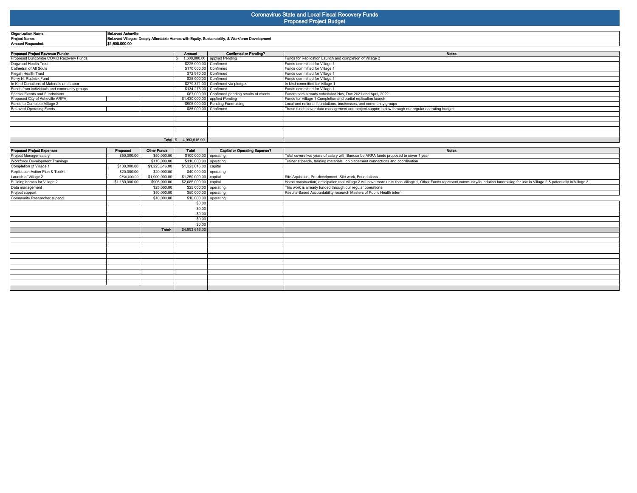## **Coronavirus State and Local Fiscal Recovery Funds**

| <b>Proposed Project Budget</b> |  |  |
|--------------------------------|--|--|
|                                |  |  |

| <b>Organization Name:</b>                   | <b>BeLoved Asheville</b>                                                                      |                        |                                                 |                                                                                                   |  |  |  |
|---------------------------------------------|-----------------------------------------------------------------------------------------------|------------------------|-------------------------------------------------|---------------------------------------------------------------------------------------------------|--|--|--|
| <b>Project Name:</b>                        | BeLoved Villages-Deeply Affordable Homes with Equity, Sustainability, & Workforce Development |                        |                                                 |                                                                                                   |  |  |  |
| <b>Amount Requested:</b>                    | \$1,600,000.00                                                                                |                        |                                                 |                                                                                                   |  |  |  |
|                                             |                                                                                               |                        |                                                 |                                                                                                   |  |  |  |
| Proposed Project Revenue Funder             |                                                                                               | Amount                 | <b>Confirmed or Pending?</b>                    | <b>Notes</b>                                                                                      |  |  |  |
| Proposed Buncombe COVID Recovery Funds      |                                                                                               |                        | 1,600,000.00 applied Pending                    | Funds for Replication Launch and completion of Village 2                                          |  |  |  |
| Dogwood Health Trust                        |                                                                                               | \$225,000.00 Confirmed |                                                 | Funds committed for Village 1                                                                     |  |  |  |
| Cathedral of All Souls                      |                                                                                               | \$170,000.00 Confirmed |                                                 | Funds committed for Village 1                                                                     |  |  |  |
| Pisgah Health Trust                         |                                                                                               | \$72,970.00 Confirmed  |                                                 | Funds committed for Village 1                                                                     |  |  |  |
| Perry N. Rudnick Fund                       |                                                                                               |                        | \$25,000.00 Confirmed                           | Funds committed for Village 1                                                                     |  |  |  |
| In Kind Donations of Materials and Labor    |                                                                                               |                        | \$279,371.00 Confirmed via pledges              | In kind committed for Village 1                                                                   |  |  |  |
| Funds from individuals and community groups |                                                                                               | \$134,275.00 Confirmed |                                                 | Funds committed for Village 1                                                                     |  |  |  |
| Special Events and Fundraisers              |                                                                                               |                        | \$67,000.00 Confirmed pending results of events | Fundraisers already scheduled Nov, Dec 2021 and April, 2022                                       |  |  |  |
| Proposed City of Asheville ARPA             |                                                                                               |                        | \$1,430,000.00 applied Pending                  | Funds for Village 1 Completion and partial replication launch                                     |  |  |  |
| Funds to Complete Village 2                 |                                                                                               |                        | \$905,000.00 Pending Fundraising                | Local and national foundations, businesses, and community groups                                  |  |  |  |
| <b>BeLoved Operating Funds</b>              |                                                                                               | \$85,000.00 Confirmed  |                                                 | These funds cover data management and project support below through our regular operating budget. |  |  |  |
|                                             |                                                                                               |                        |                                                 |                                                                                                   |  |  |  |
|                                             |                                                                                               |                        |                                                 |                                                                                                   |  |  |  |
|                                             |                                                                                               |                        |                                                 |                                                                                                   |  |  |  |
|                                             |                                                                                               |                        |                                                 |                                                                                                   |  |  |  |
|                                             |                                                                                               |                        |                                                 |                                                                                                   |  |  |  |
| <b>Total</b> $\frac{1}{3}$ 4,993,616.00     |                                                                                               |                        |                                                 |                                                                                                   |  |  |  |
|                                             |                                                                                               |                        |                                                 |                                                                                                   |  |  |  |

| <b>Proposed Project Expenses</b>  | Proposed       | <b>Other Funds</b> | Total                    | <b>Capital or Operating Expense?</b> | Notes                                                                                                                                                                                      |
|-----------------------------------|----------------|--------------------|--------------------------|--------------------------------------|--------------------------------------------------------------------------------------------------------------------------------------------------------------------------------------------|
| Project Manager salary            | \$50,000.00    | \$50,000.00        | \$100,000.00   operating |                                      | Total covers two years of salary with Buncombe ARPA funds proposed to cover 1 year                                                                                                         |
| Workforce Development Trainings   |                | \$110,000.00       | \$110,000.00   operating |                                      | Trainer stipends, training materials, job placement connections and coordination                                                                                                           |
| Completion of Village 1           | \$100,000.00   | \$1,223,616.00     | \$1,323,616.00 capital   |                                      |                                                                                                                                                                                            |
| Replication Action Plan & Toolkit | \$20,000.00    | \$20,000.00        | \$40,000.00   operating  |                                      |                                                                                                                                                                                            |
| Launch of Village 2               | \$250,000.00   | \$1,000,000.00     | \$1,250,000.00 capital   |                                      | Site Aquisition, Pre-develpment, Site work, Foundations                                                                                                                                    |
| Building homes for Village 2      | \$1,180,000.00 | \$905,000.00       | \$2,085,000.00 capital   |                                      | Home construction, anticipation that Village 2 will have more units than Village 1, Other Funds represent community/foundation fundraising for use in Village 2 & potentially in Village 3 |
| Data management                   |                | \$25,000.00        | \$25,000.00   operating  |                                      | This work is already funded through our regular operations.                                                                                                                                |
| Project support                   |                | \$50,000.00        | \$50,000.00   operating  |                                      | Results-Based Accountability research Masters of Public Health intern                                                                                                                      |
| Community Researcher stipend      |                | \$10,000.00        | $$10,000.00$ operating   |                                      |                                                                                                                                                                                            |
|                                   |                |                    | \$0.00                   |                                      |                                                                                                                                                                                            |
|                                   |                |                    | \$0.00                   |                                      |                                                                                                                                                                                            |
|                                   |                |                    | \$0.00                   |                                      |                                                                                                                                                                                            |
|                                   |                |                    | \$0.00                   |                                      |                                                                                                                                                                                            |
|                                   |                |                    | \$0.00                   |                                      |                                                                                                                                                                                            |
|                                   |                | Total:             | \$4,993,616.00           |                                      |                                                                                                                                                                                            |
|                                   |                |                    |                          |                                      |                                                                                                                                                                                            |
|                                   |                |                    |                          |                                      |                                                                                                                                                                                            |
|                                   |                |                    |                          |                                      |                                                                                                                                                                                            |
|                                   |                |                    |                          |                                      |                                                                                                                                                                                            |
|                                   |                |                    |                          |                                      |                                                                                                                                                                                            |
|                                   |                |                    |                          |                                      |                                                                                                                                                                                            |
|                                   |                |                    |                          |                                      |                                                                                                                                                                                            |
|                                   |                |                    |                          |                                      |                                                                                                                                                                                            |
|                                   |                |                    |                          |                                      |                                                                                                                                                                                            |
|                                   |                |                    |                          |                                      |                                                                                                                                                                                            |
|                                   |                |                    |                          |                                      |                                                                                                                                                                                            |